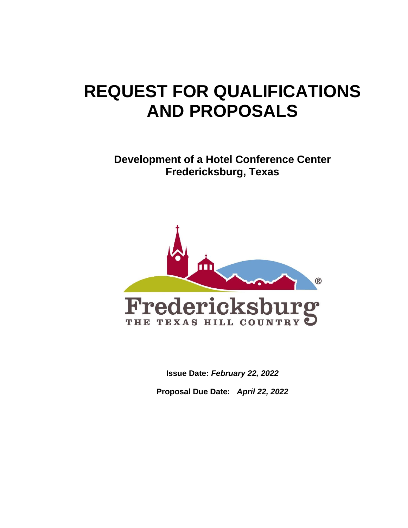# **REQUEST FOR QUALIFICATIONS AND PROPOSALS**

**Development of a Hotel Conference Center Fredericksburg, Texas**



**Issue Date:** *February 22, 2022*

**Proposal Due Date:** *April 22, 2022*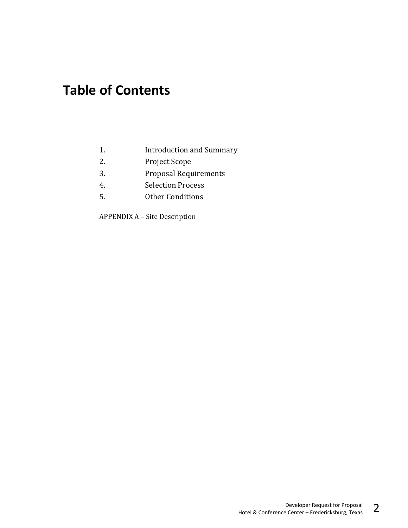## **Table of Contents**

- 1. Introduction and Summary
- 2. Project Scope
- 3. Proposal Requirements
- 4. Selection Process
- 5. Other Conditions

APPENDIX A – Site Description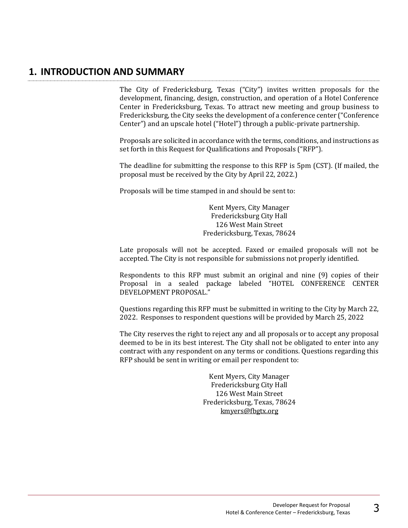#### **1. INTRODUCTION AND SUMMARY**

The City of Fredericksburg, Texas ("City") invites written proposals for the development, financing, design, construction, and operation of a Hotel Conference Center in Fredericksburg, Texas. To attract new meeting and group business to Fredericksburg, the City seeks the development of a conference center ("Conference Center") and an upscale hotel ("Hotel") through a public-private partnership.

Proposals are solicited in accordance with the terms, conditions, and instructions as set forth in this Request for Qualifications and Proposals ("RFP").

The deadline for submitting the response to this RFP is 5pm (CST). (If mailed, the proposal must be received by the City by April 22, 2022.)

Proposals will be time stamped in and should be sent to:

Kent Myers, City Manager Fredericksburg City Hall 126 West Main Street Fredericksburg, Texas, 78624

Late proposals will not be accepted. Faxed or emailed proposals will not be accepted. The City is not responsible for submissions not properly identified.

Respondents to this RFP must submit an original and nine (9) copies of their Proposal in a sealed package labeled "HOTEL CONFERENCE CENTER DEVELOPMENT PROPOSAL."

Questions regarding this RFP must be submitted in writing to the City by March 22, 2022. Responses to respondent questions will be provided by March 25, 2022

The City reserves the right to reject any and all proposals or to accept any proposal deemed to be in its best interest. The City shall not be obligated to enter into any contract with any respondent on any terms or conditions. Questions regarding this RFP should be sent in writing or email per respondent to:

> Kent Myers, City Manager Fredericksburg City Hall 126 West Main Street Fredericksburg, Texas, 78624 [kmyers@fbgtx.org](mailto:kmyers@fbgtx.org)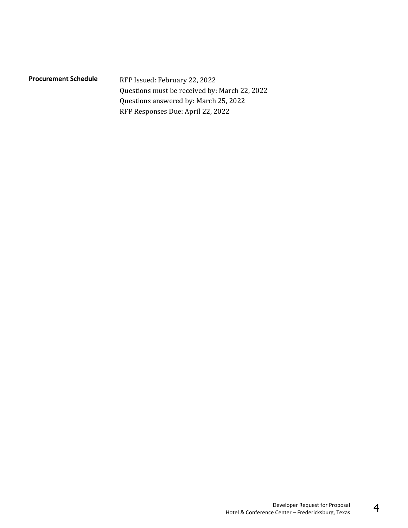| <b>Procurement Schedule</b> | RFP Issued: February 22, 2022                 |
|-----------------------------|-----------------------------------------------|
|                             | Questions must be received by: March 22, 2022 |
|                             | Questions answered by: March 25, 2022         |
|                             | RFP Responses Due: April 22, 2022             |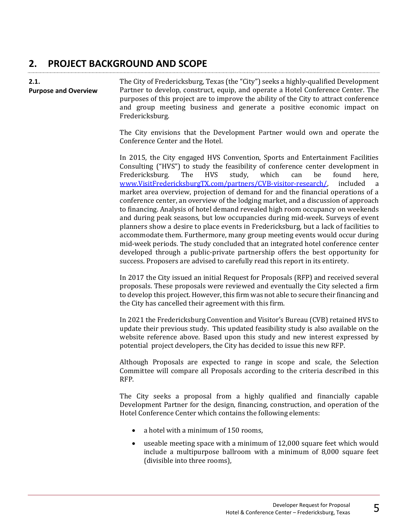## **2. PROJECT BACKGROUND AND SCOPE**

| 2.1.<br><b>Purpose and Overview</b> | The City of Fredericksburg, Texas (the "City") seeks a highly-qualified Development<br>Partner to develop, construct, equip, and operate a Hotel Conference Center. The<br>purposes of this project are to improve the ability of the City to attract conference<br>and group meeting business and generate a positive economic impact on<br>Fredericksburg.                                                                                                                                                                                                                                                                                                                                                                                                                                                                                                                                                                                                                                                                                                                                                                         |
|-------------------------------------|--------------------------------------------------------------------------------------------------------------------------------------------------------------------------------------------------------------------------------------------------------------------------------------------------------------------------------------------------------------------------------------------------------------------------------------------------------------------------------------------------------------------------------------------------------------------------------------------------------------------------------------------------------------------------------------------------------------------------------------------------------------------------------------------------------------------------------------------------------------------------------------------------------------------------------------------------------------------------------------------------------------------------------------------------------------------------------------------------------------------------------------|
|                                     | The City envisions that the Development Partner would own and operate the<br>Conference Center and the Hotel.                                                                                                                                                                                                                                                                                                                                                                                                                                                                                                                                                                                                                                                                                                                                                                                                                                                                                                                                                                                                                        |
|                                     | In 2015, the City engaged HVS Convention, Sports and Entertainment Facilities<br>Consulting ("HVS") to study the feasibility of conference center development in<br>which<br>Fredericksburg.<br>The<br><b>HVS</b><br>study,<br>be<br>found<br>here,<br>can<br>www.VisitFredericksburgTX.com/partners/CVB-visitor-research/<br>included<br><sub>a</sub><br>market area overview, projection of demand for and the financial operations of a<br>conference center, an overview of the lodging market, and a discussion of approach<br>to financing. Analysis of hotel demand revealed high room occupancy on weekends<br>and during peak seasons, but low occupancies during mid-week. Surveys of event<br>planners show a desire to place events in Fredericksburg, but a lack of facilities to<br>accommodate them. Furthermore, many group meeting events would occur during<br>mid-week periods. The study concluded that an integrated hotel conference center<br>developed through a public-private partnership offers the best opportunity for<br>success. Proposers are advised to carefully read this report in its entirety. |
|                                     | In 2017 the City issued an initial Request for Proposals (RFP) and received several<br>proposals. These proposals were reviewed and eventually the City selected a firm<br>to develop this project. However, this firm was not able to secure their financing and<br>the City has cancelled their agreement with this firm.                                                                                                                                                                                                                                                                                                                                                                                                                                                                                                                                                                                                                                                                                                                                                                                                          |
|                                     | In 2021 the Fredericksburg Convention and Visitor's Bureau (CVB) retained HVS to<br>update their previous study. This updated feasibility study is also available on the<br>website reference above. Based upon this study and new interest expressed by<br>potential project developers, the City has decided to issue this new RFP.                                                                                                                                                                                                                                                                                                                                                                                                                                                                                                                                                                                                                                                                                                                                                                                                |
|                                     | Although Proposals are expected to range in scope and scale, the Selection<br>Committee will compare all Proposals according to the criteria described in this<br>RFP.                                                                                                                                                                                                                                                                                                                                                                                                                                                                                                                                                                                                                                                                                                                                                                                                                                                                                                                                                               |
|                                     | The City seeks a proposal from a highly qualified and financially capable<br>Development Partner for the design, financing, construction, and operation of the<br>Hotel Conference Center which contains the following elements:                                                                                                                                                                                                                                                                                                                                                                                                                                                                                                                                                                                                                                                                                                                                                                                                                                                                                                     |
|                                     | a hotel with a minimum of 150 rooms,<br>$\bullet$                                                                                                                                                                                                                                                                                                                                                                                                                                                                                                                                                                                                                                                                                                                                                                                                                                                                                                                                                                                                                                                                                    |
|                                     | useable meeting space with a minimum of 12,000 square feet which would<br>٠<br>include a multipurpose ballroom with a minimum of 8,000 square feet<br>(divisible into three rooms),                                                                                                                                                                                                                                                                                                                                                                                                                                                                                                                                                                                                                                                                                                                                                                                                                                                                                                                                                  |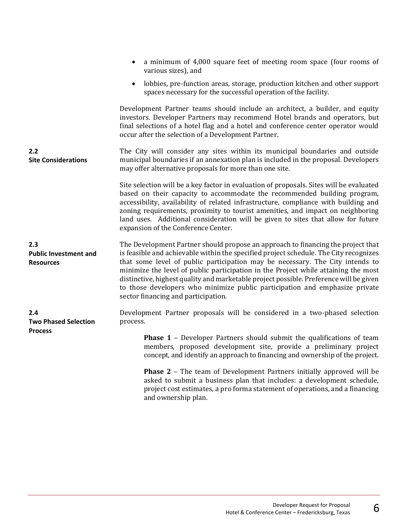|                                                         | a minimum of 4,000 square feet of meeting room space (four rooms of<br>various sizes), and                                                                                                                                                                                                                                                                                                                                                                                                                                                                       |
|---------------------------------------------------------|------------------------------------------------------------------------------------------------------------------------------------------------------------------------------------------------------------------------------------------------------------------------------------------------------------------------------------------------------------------------------------------------------------------------------------------------------------------------------------------------------------------------------------------------------------------|
|                                                         | lobbies, pre-function areas, storage, production kitchen and other support<br>$\bullet$<br>spaces necessary for the successful operation of the facility.                                                                                                                                                                                                                                                                                                                                                                                                        |
|                                                         | Development Partner teams should include an architect, a builder, and equity<br>investors. Developer Partners may recommend Hotel brands and operators, but<br>final selections of a hotel flag and a hotel and conference center operator would<br>occur after the selection of a Development Partner.                                                                                                                                                                                                                                                          |
| 2.2<br><b>Site Considerations</b>                       | The City will consider any sites within its municipal boundaries and outside<br>municipal boundaries if an annexation plan is included in the proposal. Developers<br>may offer alternative proposals for more than one site.                                                                                                                                                                                                                                                                                                                                    |
|                                                         | Site selection will be a key factor in evaluation of proposals. Sites will be evaluated<br>based on their capacity to accommodate the recommended building program,<br>accessibility, availability of related infrastructure, compliance with building and<br>zoning requirements, proximity to tourist amenities, and impact on neighboring<br>land uses. Additional consideration will be given to sites that allow for future<br>expansion of the Conference Center.                                                                                          |
| 2.3<br><b>Public Investment and</b><br><b>Resources</b> | The Development Partner should propose an approach to financing the project that<br>is feasible and achievable within the specified project schedule. The City recognizes<br>that some level of public participation may be necessary. The City intends to<br>minimize the level of public participation in the Project while attaining the most<br>distinctive, highest quality and marketable project possible. Preference will be given<br>to those developers who minimize public participation and emphasize private<br>sector financing and participation. |
| 2.4<br><b>Two Phased Selection</b><br><b>Process</b>    | Development Partner proposals will be considered in a two-phased selection<br>process.                                                                                                                                                                                                                                                                                                                                                                                                                                                                           |
|                                                         | <b>Phase 1 - Developer Partners should submit the qualifications of team</b><br>members, proposed development site, provide a preliminary project<br>concept, and identify an approach to financing and ownership of the project.                                                                                                                                                                                                                                                                                                                                |
|                                                         | <b>Phase 2</b> - The team of Development Partners initially approved will be<br>asked to submit a business plan that includes: a development schedule,<br>project cost estimates, a pro forma statement of operations, and a financing<br>and ownership plan.                                                                                                                                                                                                                                                                                                    |
|                                                         |                                                                                                                                                                                                                                                                                                                                                                                                                                                                                                                                                                  |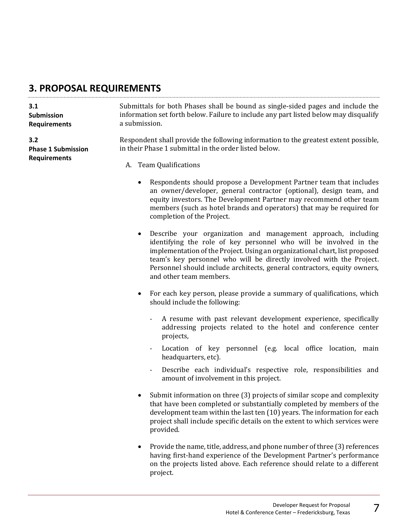#### **3. PROPOSAL REQUIREMENTS**

| 3.1                       | Submittals for both Phases shall be bound as single-sided pages and include the      |
|---------------------------|--------------------------------------------------------------------------------------|
| <b>Submission</b>         | information set forth below. Failure to include any part listed below may disqualify |
| <b>Requirements</b>       | a submission.                                                                        |
| 3.2                       | Respondent shall provide the following information to the greatest extent possible,  |
| <b>Phase 1 Submission</b> | in their Phase 1 submittal in the order listed below.                                |
| <b>Requirements</b>       | A. Team Qualifications                                                               |
|                           |                                                                                      |

- Respondents should propose a Development Partner team that includes an owner/developer, general contractor (optional), design team, and equity investors. The Development Partner may recommend other team members (such as hotel brands and operators) that may be required for completion of the Project.
- Describe your organization and management approach, including identifying the role of key personnel who will be involved in the implementation of the Project. Using an organizational chart, list proposed team's key personnel who will be directly involved with the Project. Personnel should include architects, general contractors, equity owners, and other team members.
- For each key person, please provide a summary of qualifications, which should include the following:
	- A resume with past relevant development experience, specifically addressing projects related to the hotel and conference center projects,
	- Location of key personnel (e.g. local office location, main headquarters, etc).
	- Describe each individual's respective role, responsibilities and amount of involvement in this project.
- Submit information on three (3) projects of similar scope and complexity that have been completed or substantially completed by members of the development team within the last ten (10) years. The information for each project shall include specific details on the extent to which services were provided.
- Provide the name, title, address, and phone number of three (3) references having first-hand experience of the Development Partner's performance on the projects listed above. Each reference should relate to a different project.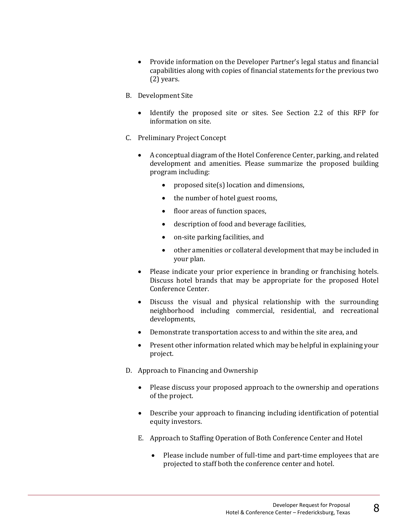- Provide information on the Developer Partner's legal status and financial capabilities along with copies of financial statements for the previous two (2) years.
- B. Development Site
	- Identify the proposed site or sites. See Section 2.2 of this RFP for information on site.
- C. Preliminary Project Concept
	- A conceptual diagram of the Hotel Conference Center, parking, and related development and amenities. Please summarize the proposed building program including:
		- proposed site(s) location and dimensions,
		- the number of hotel guest rooms,
		- floor areas of function spaces,
		- description of food and beverage facilities,
		- on-site parking facilities, and
		- other amenities or collateral development that may be included in your plan.
	- Please indicate your prior experience in branding or franchising hotels. Discuss hotel brands that may be appropriate for the proposed Hotel Conference Center.
	- Discuss the visual and physical relationship with the surrounding neighborhood including commercial, residential, and recreational developments,
	- Demonstrate transportation access to and within the site area, and
	- Present other information related which may be helpful in explaining your project.
- D. Approach to Financing and Ownership
	- Please discuss your proposed approach to the ownership and operations of the project.
	- Describe your approach to financing including identification of potential equity investors.
	- E. Approach to Staffing Operation of Both Conference Center and Hotel
		- Please include number of full-time and part-time employees that are projected to staff both the conference center and hotel.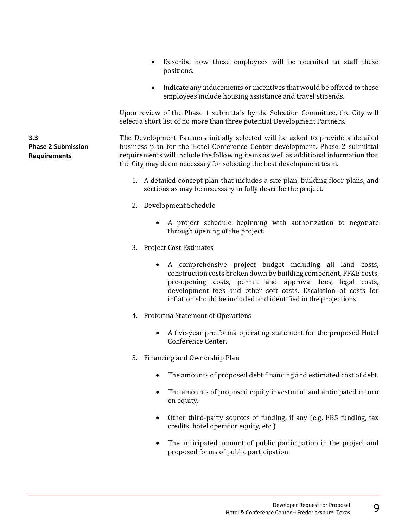- Describe how these employees will be recruited to staff these positions.
- Indicate any inducements or incentives that would be offered to these employees include housing assistance and travel stipends.

Upon review of the Phase 1 submittals by the Selection Committee, the City will select a short list of no more than three potential Development Partners.

The Development Partners initially selected will be asked to provide a detailed business plan for the Hotel Conference Center development. Phase 2 submittal requirements will include the following items as well as additional information that the City may deem necessary for selecting the best development team.

- 1. A detailed concept plan that includes a site plan, building floor plans, and sections as may be necessary to fully describe the project.
- 2. Development Schedule
	- A project schedule beginning with authorization to negotiate through opening of the project.
- 3. Project Cost Estimates
	- A comprehensive project budget including all land costs, construction costs broken down by building component, FF&E costs, pre-opening costs, permit and approval fees, legal costs, development fees and other soft costs. Escalation of costs for inflation should be included and identified in the projections.
- 4. Proforma Statement of Operations
	- A five-year pro forma operating statement for the proposed Hotel Conference Center.
- 5. Financing and Ownership Plan
	- The amounts of proposed debt financing and estimated cost of debt.
	- The amounts of proposed equity investment and anticipated return on equity.
	- Other third-party sources of funding, if any (e.g. EB5 funding, tax credits, hotel operator equity, etc.)
	- The anticipated amount of public participation in the project and proposed forms of public participation.

**3.3 Phase 2 Submission Requirements**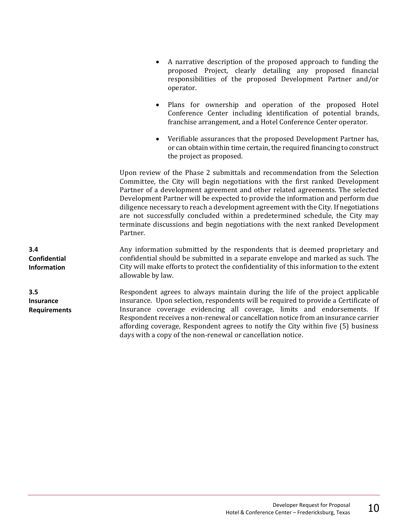- A narrative description of the proposed approach to funding the proposed Project, clearly detailing any proposed financial responsibilities of the proposed Development Partner and/or operator.
- Plans for ownership and operation of the proposed Hotel Conference Center including identification of potential brands, franchise arrangement, and a Hotel Conference Center operator.
- Verifiable assurances that the proposed Development Partner has, or can obtain within time certain, the required financing to construct the project as proposed.

Upon review of the Phase 2 submittals and recommendation from the Selection Committee, the City will begin negotiations with the first ranked Development Partner of a development agreement and other related agreements. The selected Development Partner will be expected to provide the information and perform due diligence necessary to reach a development agreement with the City. If negotiations are not successfully concluded within a predetermined schedule, the City may terminate discussions and begin negotiations with the next ranked Development Partner.

Any information submitted by the respondents that is deemed proprietary and confidential should be submitted in a separate envelope and marked as such. The City will make efforts to protect the confidentiality of this information to the extent allowable by law.

Respondent agrees to always maintain during the life of the project applicable insurance. Upon selection, respondents will be required to provide a Certificate of Insurance coverage evidencing all coverage, limits and endorsements. If Respondent receives a non-renewal or cancellation notice from an insurance carrier affording coverage, Respondent agrees to notify the City within five (5) business days with a copy of the non-renewal or cancellation notice.

**3.4 Confidential Information**

**3.5 Insurance Requirements**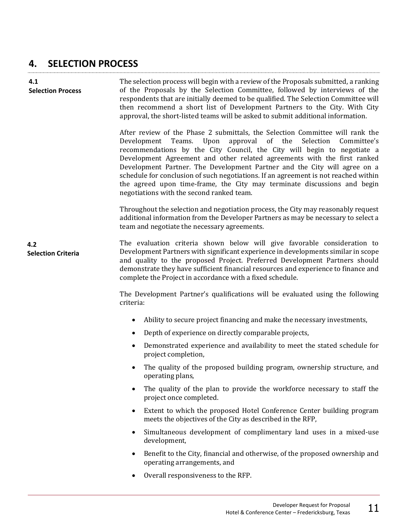#### **4. SELECTION PROCESS**

| 4.1<br><b>Selection Process</b>  | The selection process will begin with a review of the Proposals submitted, a ranking<br>of the Proposals by the Selection Committee, followed by interviews of the<br>respondents that are initially deemed to be qualified. The Selection Committee will<br>then recommend a short list of Development Partners to the City. With City<br>approval, the short-listed teams will be asked to submit additional information.                                                                                                                                                                                 |
|----------------------------------|-------------------------------------------------------------------------------------------------------------------------------------------------------------------------------------------------------------------------------------------------------------------------------------------------------------------------------------------------------------------------------------------------------------------------------------------------------------------------------------------------------------------------------------------------------------------------------------------------------------|
|                                  | After review of the Phase 2 submittals, the Selection Committee will rank the<br>Upon<br>approval of the Selection<br>Development Teams.<br>Committee's<br>recommendations by the City Council, the City will begin to negotiate a<br>Development Agreement and other related agreements with the first ranked<br>Development Partner. The Development Partner and the City will agree on a<br>schedule for conclusion of such negotiations. If an agreement is not reached within<br>the agreed upon time-frame, the City may terminate discussions and begin<br>negotiations with the second ranked team. |
|                                  | Throughout the selection and negotiation process, the City may reasonably request<br>additional information from the Developer Partners as may be necessary to select a<br>team and negotiate the necessary agreements.                                                                                                                                                                                                                                                                                                                                                                                     |
| 4.2<br><b>Selection Criteria</b> | The evaluation criteria shown below will give favorable consideration to<br>Development Partners with significant experience in developments similar in scope<br>and quality to the proposed Project. Preferred Development Partners should<br>demonstrate they have sufficient financial resources and experience to finance and<br>complete the Project in accordance with a fixed schedule.                                                                                                                                                                                                              |
|                                  | The Development Partner's qualifications will be evaluated using the following<br>criteria:                                                                                                                                                                                                                                                                                                                                                                                                                                                                                                                 |
|                                  | Ability to secure project financing and make the necessary investments,<br>$\bullet$                                                                                                                                                                                                                                                                                                                                                                                                                                                                                                                        |
|                                  | Depth of experience on directly comparable projects,<br>$\bullet$                                                                                                                                                                                                                                                                                                                                                                                                                                                                                                                                           |
|                                  | Demonstrated experience and availability to meet the stated schedule for<br>project completion,                                                                                                                                                                                                                                                                                                                                                                                                                                                                                                             |
|                                  | The quality of the proposed building program, ownership structure, and<br>operating plans,                                                                                                                                                                                                                                                                                                                                                                                                                                                                                                                  |
|                                  | The quality of the plan to provide the workforce necessary to staff the<br>$\bullet$<br>project once completed.                                                                                                                                                                                                                                                                                                                                                                                                                                                                                             |
|                                  | Extent to which the proposed Hotel Conference Center building program<br>$\bullet$<br>meets the objectives of the City as described in the RFP,                                                                                                                                                                                                                                                                                                                                                                                                                                                             |
|                                  | Simultaneous development of complimentary land uses in a mixed-use<br>$\bullet$<br>development,                                                                                                                                                                                                                                                                                                                                                                                                                                                                                                             |
|                                  | Benefit to the City, financial and otherwise, of the proposed ownership and<br>٠<br>operating arrangements, and                                                                                                                                                                                                                                                                                                                                                                                                                                                                                             |
|                                  | Overall responsiveness to the RFP.<br>$\bullet$                                                                                                                                                                                                                                                                                                                                                                                                                                                                                                                                                             |